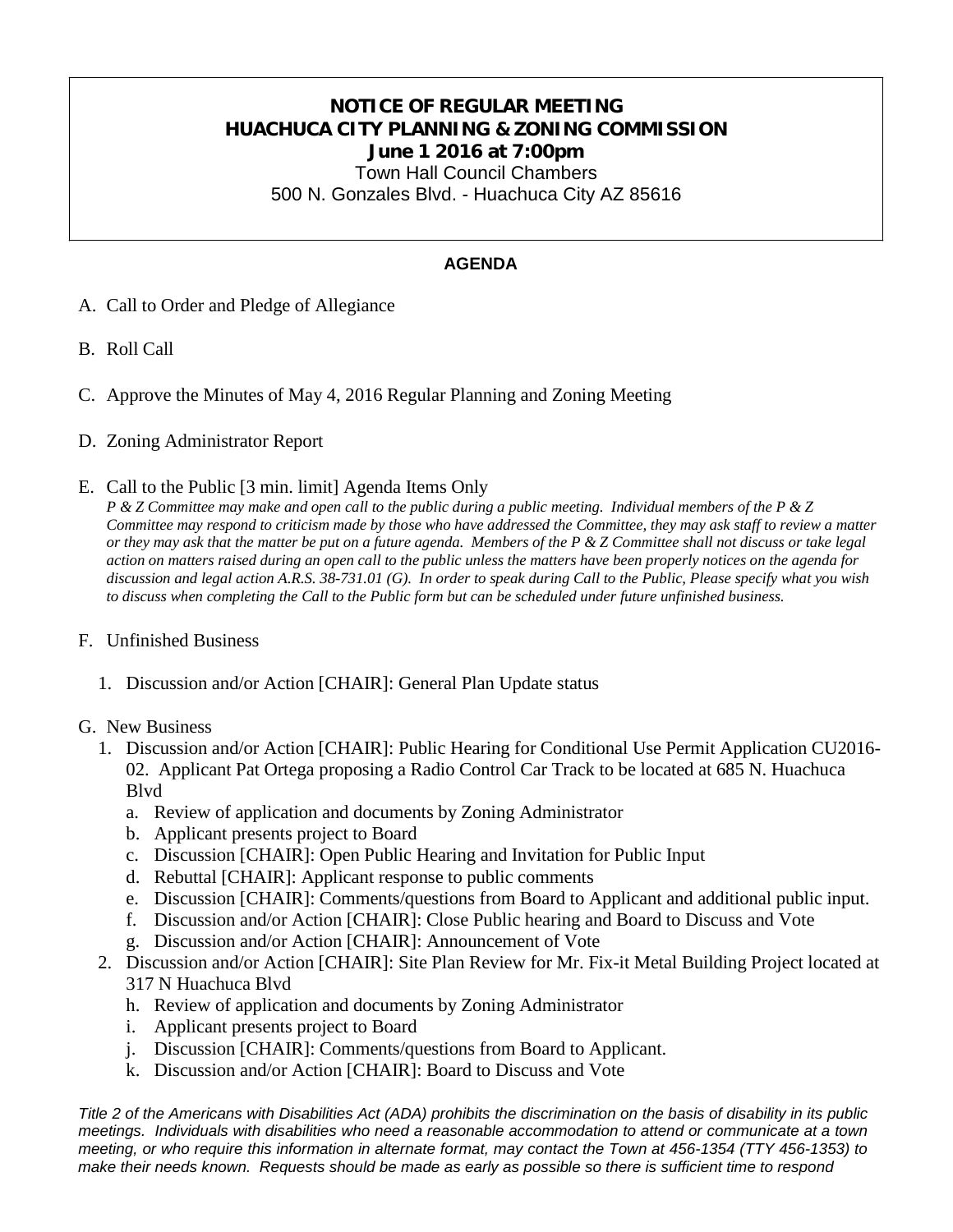# **NOTICE OF REGULAR MEETING HUACHUCA CITY PLANNING & ZONING COMMISSION June 1 2016 at 7:00pm**

Town Hall Council Chambers 500 N. Gonzales Blvd. - Huachuca City AZ 85616

## **AGENDA**

- A. Call to Order and Pledge of Allegiance
- B. Roll Call
- C. Approve the Minutes of May 4, 2016 Regular Planning and Zoning Meeting
- D. Zoning Administrator Report
- E. Call to the Public [3 min. limit] Agenda Items Only

*P & Z Committee may make and open call to the public during a public meeting. Individual members of the P & Z Committee may respond to criticism made by those who have addressed the Committee, they may ask staff to review a matter or they may ask that the matter be put on a future agenda. Members of the P & Z Committee shall not discuss or take legal action on matters raised during an open call to the public unless the matters have been properly notices on the agenda for discussion and legal action A.R.S. 38-731.01 (G). In order to speak during Call to the Public, Please specify what you wish to discuss when completing the Call to the Public form but can be scheduled under future unfinished business.*

#### F. Unfinished Business

1. Discussion and/or Action [CHAIR]: General Plan Update status

#### G. New Business

- 1. Discussion and/or Action [CHAIR]: Public Hearing for Conditional Use Permit Application CU2016- 02. Applicant Pat Ortega proposing a Radio Control Car Track to be located at 685 N. Huachuca Blvd
	- a. Review of application and documents by Zoning Administrator
	- b. Applicant presents project to Board
	- c. Discussion [CHAIR]: Open Public Hearing and Invitation for Public Input
	- d. Rebuttal [CHAIR]: Applicant response to public comments
	- e. Discussion [CHAIR]: Comments/questions from Board to Applicant and additional public input.
	- f. Discussion and/or Action [CHAIR]: Close Public hearing and Board to Discuss and Vote
	- g. Discussion and/or Action [CHAIR]: Announcement of Vote
- 2. Discussion and/or Action [CHAIR]: Site Plan Review for Mr. Fix-it Metal Building Project located at 317 N Huachuca Blvd
	- h. Review of application and documents by Zoning Administrator
	- i. Applicant presents project to Board
	- j. Discussion [CHAIR]: Comments/questions from Board to Applicant.
	- k. Discussion and/or Action [CHAIR]: Board to Discuss and Vote

*Title 2 of the Americans with Disabilities Act (ADA) prohibits the discrimination on the basis of disability in its public meetings. Individuals with disabilities who need a reasonable accommodation to attend or communicate at a town meeting, or who require this information in alternate format, may contact the Town at 456-1354 (TTY 456-1353) to make their needs known. Requests should be made as early as possible so there is sufficient time to respond*